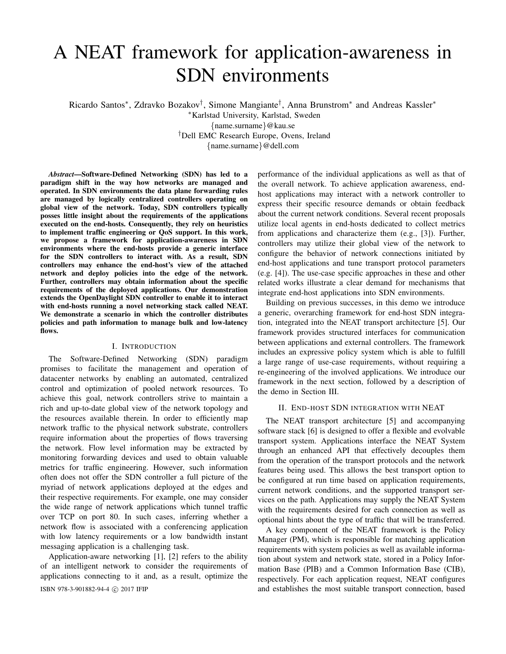# A NEAT framework for application-awareness in SDN environments

Ricardo Santos\*, Zdravko Bozakov<sup>†</sup>, Simone Mangiante<sup>†</sup>, Anna Brunstrom\* and Andreas Kassler\*

<sup>∗</sup>Karlstad University, Karlstad, Sweden

{name.surname}@kau.se

†Dell EMC Research Europe, Ovens, Ireland

{name.surname}@dell.com

*Abstract*—Software-Defined Networking (SDN) has led to a paradigm shift in the way how networks are managed and operated. In SDN environments the data plane forwarding rules are managed by logically centralized controllers operating on global view of the network. Today, SDN controllers typically posses little insight about the requirements of the applications executed on the end-hosts. Consequently, they rely on heuristics to implement traffic engineering or QoS support. In this work, we propose a framework for application-awareness in SDN environments where the end-hosts provide a generic interface for the SDN controllers to interact with. As a result, SDN controllers may enhance the end-host's view of the attached network and deploy policies into the edge of the network. Further, controllers may obtain information about the specific requirements of the deployed applications. Our demonstration extends the OpenDaylight SDN controller to enable it to interact with end-hosts running a novel networking stack called NEAT. We demonstrate a scenario in which the controller distributes policies and path information to manage bulk and low-latency flows.

## I. INTRODUCTION

The Software-Defined Networking (SDN) paradigm promises to facilitate the management and operation of datacenter networks by enabling an automated, centralized control and optimization of pooled network resources. To achieve this goal, network controllers strive to maintain a rich and up-to-date global view of the network topology and the resources available therein. In order to efficiently map network traffic to the physical network substrate, controllers require information about the properties of flows traversing the network. Flow level information may be extracted by monitoring forwarding devices and used to obtain valuable metrics for traffic engineering. However, such information often does not offer the SDN controller a full picture of the myriad of network applications deployed at the edges and their respective requirements. For example, one may consider the wide range of network applications which tunnel traffic over TCP on port 80. In such cases, inferring whether a network flow is associated with a conferencing application with low latency requirements or a low bandwidth instant messaging application is a challenging task.

Application-aware networking [1], [2] refers to the ability of an intelligent network to consider the requirements of applications connecting to it and, as a result, optimize the ISBN 978-3-901882-94-4 c 2017 IFIP and establishes the most suitable transport connection, based

performance of the individual applications as well as that of the overall network. To achieve application awareness, endhost applications may interact with a network controller to express their specific resource demands or obtain feedback about the current network conditions. Several recent proposals utilize local agents in end-hosts dedicated to collect metrics from applications and characterize them (e.g., [3]). Further, controllers may utilize their global view of the network to configure the behavior of network connections initiated by end-host applications and tune transport protocol parameters (e.g. [4]). The use-case specific approaches in these and other related works illustrate a clear demand for mechanisms that integrate end-host applications into SDN environments.

Building on previous successes, in this demo we introduce a generic, overarching framework for end-host SDN integration, integrated into the NEAT transport architecture [5]. Our framework provides structured interfaces for communication between applications and external controllers. The framework includes an expressive policy system which is able to fulfill a large range of use-case requirements, without requiring a re-engineering of the involved applications. We introduce our framework in the next section, followed by a description of the demo in Section III.

### II. END-HOST SDN INTEGRATION WITH NEAT

The NEAT transport architecture [5] and accompanying software stack [6] is designed to offer a flexible and evolvable transport system. Applications interface the NEAT System through an enhanced API that effectively decouples them from the operation of the transport protocols and the network features being used. This allows the best transport option to be configured at run time based on application requirements, current network conditions, and the supported transport services on the path. Applications may supply the NEAT System with the requirements desired for each connection as well as optional hints about the type of traffic that will be transferred.

A key component of the NEAT framework is the Policy Manager (PM), which is responsible for matching application requirements with system policies as well as available information about system and network state, stored in a Policy Information Base (PIB) and a Common Information Base (CIB), respectively. For each application request, NEAT configures